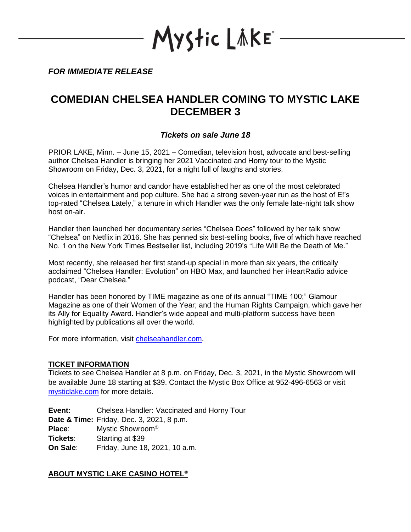YStic LÄKE\*

*FOR IMMEDIATE RELEASE*

# **COMEDIAN CHELSEA HANDLER COMING TO MYSTIC LAKE DECEMBER 3**

## *Tickets on sale June 18*

PRIOR LAKE, Minn. – June 15, 2021 – Comedian, television host, advocate and best-selling author Chelsea Handler is bringing her 2021 Vaccinated and Horny tour to the Mystic Showroom on Friday, Dec. 3, 2021, for a night full of laughs and stories.

Chelsea Handler's humor and candor have established her as one of the most celebrated voices in entertainment and pop culture. She had a strong seven-year run as the host of E!'s top-rated "Chelsea Lately," a tenure in which Handler was the only female late-night talk show host on-air.

Handler then launched her documentary series "Chelsea Does" followed by her talk show "Chelsea" on Netflix in 2016. She has penned six best-selling books, five of which have reached No. 1 on the New York Times Bestseller list, including 2019's "Life Will Be the Death of Me."

Most recently, she released her first stand-up special in more than six years, the critically acclaimed "Chelsea Handler: Evolution" on HBO Max, and launched her iHeartRadio advice podcast, "Dear Chelsea."

Handler has been honored by TIME magazine as one of its annual "TIME 100;" Glamour Magazine as one of their Women of the Year; and the Human Rights Campaign, which gave her its Ally for Equality Award. Handler's wide appeal and multi-platform success have been highlighted by publications all over the world.

For more information, visit [chelseahandler.com.](http://chelseahandler.com/)

### **TICKET INFORMATION**

Tickets to see Chelsea Handler at 8 p.m. on Friday, Dec. 3, 2021, in the Mystic Showroom will be available June 18 starting at \$39. Contact the Mystic Box Office at 952-496-6563 or visit [mysticlake.com](http://www.mysticlake.com/) for more details.

**Event:** Chelsea Handler: Vaccinated and Horny Tour **Date & Time:** Friday, Dec. 3, 2021, 8 p.m. **Place**: Mystic Showroom® **Tickets**: Starting at \$39 **On Sale**: Friday, June 18, 2021, 10 a.m.

## **ABOUT MYSTIC LAKE CASINO HOTEL®**